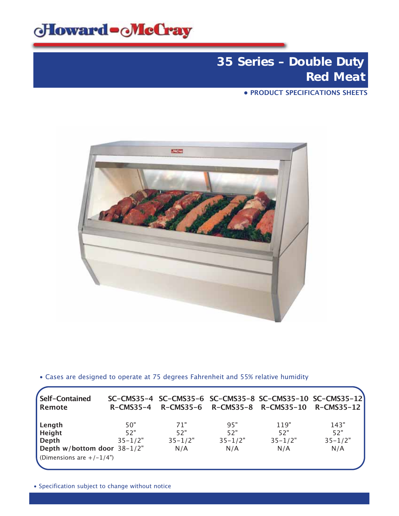

**• PRODUCT SPECIFICATIONS SHEETS**



• Cases are designed to operate at 75 degrees Fahrenheit and 55% relative humidity

| Self-Contained<br>Remote    | $R$ –CMS35–4 |             |             | SC-CMS35-4 SC-CMS35-6 SC-CMS35-8 SC-CMS35-10 SC-CMS35-12<br>R-CMS35-6 R-CMS35-8 R-CMS35-10 R-CMS35-12 |             |
|-----------------------------|--------------|-------------|-------------|-------------------------------------------------------------------------------------------------------|-------------|
| Length                      | 50"          | 71"         | 95"         | 119"                                                                                                  | 143"        |
| <b>Height</b>               | 52"          | 52"         | 52"         | 52"                                                                                                   | 52"         |
| Depth                       | $35 - 1/2"$  | $35 - 1/2"$ | $35 - 1/2"$ | $35 - 1/2"$                                                                                           | $35 - 1/2"$ |
| Depth w/bottom door 38-1/2" |              | N/A         | N/A         | N/A                                                                                                   | N/A         |
| (Dimensions are $+/-1/4$ )  |              |             |             |                                                                                                       |             |

• Specification subject to change without notice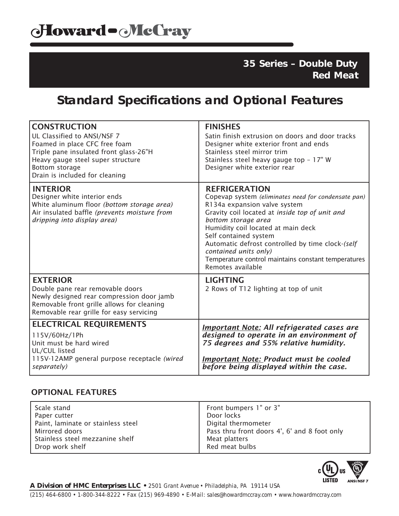## **Standard Specifications and Optional Features**

| <b>CONSTRUCTION</b><br>UL Classified to ANSI/NSF 7<br>Foamed in place CFC free foam<br>Triple pane insulated front glass-26"H<br>Heavy gauge steel super structure<br>Bottom storage<br>Drain is included for cleaning | <b>FINISHES</b><br>Satin finish extrusion on doors and door tracks<br>Designer white exterior front and ends<br>Stainless steel mirror trim<br>Stainless steel heavy gauge top - 17" W<br>Designer white exterior rear                                                                                                                                                                                       |
|------------------------------------------------------------------------------------------------------------------------------------------------------------------------------------------------------------------------|--------------------------------------------------------------------------------------------------------------------------------------------------------------------------------------------------------------------------------------------------------------------------------------------------------------------------------------------------------------------------------------------------------------|
| <b>INTERIOR</b><br>Designer white interior ends<br>White aluminum floor (bottom storage area)<br>Air insulated baffle (prevents moisture from<br>dripping into display area)                                           | <b>REFRIGERATION</b><br>Copevap system (eliminates need for condensate pan)<br>R134a expansion valve system<br>Gravity coil located at inside top of unit and<br>bottom storage area<br>Humidity coil located at main deck<br>Self contained system<br>Automatic defrost controlled by time clock-(self<br>contained units only)<br>Temperature control maintains constant temperatures<br>Remotes available |
| <b>EXTERIOR</b><br>Double pane rear removable doors<br>Newly designed rear compression door jamb<br>Removable front grille allows for cleaning<br>Removable rear grille for easy servicing                             | <b>LIGHTING</b><br>2 Rows of T12 lighting at top of unit                                                                                                                                                                                                                                                                                                                                                     |
| <b>ELECTRICAL REQUIREMENTS</b><br>115V/60Hz/1Ph<br>Unit must be hard wired<br>UL/CUL listed<br>115V-12AMP general purpose receptacle (wired<br>separately)                                                             | <b>Important Note: All refrigerated cases are</b><br>designed to operate in an environment of<br>75 degrees and 55% relative humidity.<br><b>Important Note: Product must be cooled</b><br>before being displayed within the case.                                                                                                                                                                           |

### OPTIONAL FEATURES

| Scale stand                        | Front bumpers 1" or 3"                       |
|------------------------------------|----------------------------------------------|
| Paper cutter                       | Door locks                                   |
| Paint, laminate or stainless steel | Digital thermometer                          |
| l Mirrored doors                   | Pass thru front doors 4', 6' and 8 foot only |
| Stainless steel mezzanine shelf    | Meat platters                                |
| Drop work shelf                    | Red meat bulbs                               |



*A Division of HMC Enterprises LLC • 2501 Grant Avenue • Philadelphia, PA 19114 USA (215) 464-6800 • 1-800-344-8222 • Fax (215) 969-4890 • E-Mail: sales@howardmccray.com • www.howardmccray.com*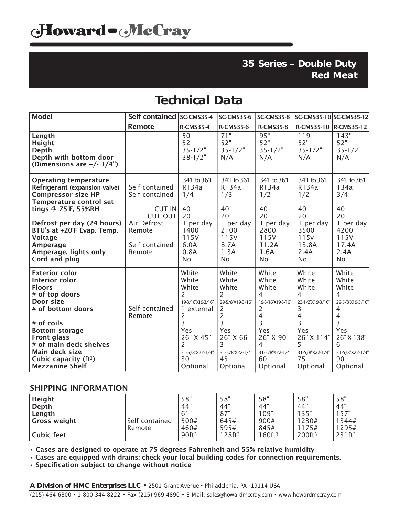## **Technical Data**

| <b>Model</b>                                                                                                                                                                                                                                                                         | Self contained SC-CMS35-4                             |                                                                                                                                                         | <b>SC-CMS35-6</b>                                                                                                                          | <b>SC-CMS35-8</b>                                                                                                              | SC-CMS35-10 SC-CMS35-12                                                                                                        |                                                                                                                                |
|--------------------------------------------------------------------------------------------------------------------------------------------------------------------------------------------------------------------------------------------------------------------------------------|-------------------------------------------------------|---------------------------------------------------------------------------------------------------------------------------------------------------------|--------------------------------------------------------------------------------------------------------------------------------------------|--------------------------------------------------------------------------------------------------------------------------------|--------------------------------------------------------------------------------------------------------------------------------|--------------------------------------------------------------------------------------------------------------------------------|
|                                                                                                                                                                                                                                                                                      | <b>Remote</b>                                         | <b>R-CMS35-4</b>                                                                                                                                        | <b>R-CMS35-6</b>                                                                                                                           | <b>R-CMS35-8</b>                                                                                                               | R-CMS35-10  R-CMS35-12                                                                                                         |                                                                                                                                |
| Length<br><b>Height</b><br><b>Depth</b><br>Depth with bottom door<br>(Dimensions are $+/- 1/4$ ")                                                                                                                                                                                    |                                                       | 50"<br>52"<br>$35 - 1/2"$<br>$38 - 1/2"$                                                                                                                | $\overline{71}$ "<br>52"<br>$35 - 1/2"$<br>N/A                                                                                             | 95"<br>52"<br>$35 - 1/2"$<br>N/A                                                                                               | 119"<br>52"<br>$35 - 1/2"$<br>N/A                                                                                              | 143"<br>52"<br>$35 - 1/2"$<br>N/A                                                                                              |
| <b>Operating temperature</b><br>Refrigerant (expansion valve)<br><b>Compressor size HP</b><br>Temperature control set-<br>tings @ 75°F, 55%RH                                                                                                                                        | Self contained<br>Self contained<br>CUT IN<br>CUT OUT | 34°F to 36°F<br>R134a<br>1/4<br>40<br>20                                                                                                                | 34°F to 36°F<br>R134a<br>1/3<br>40<br>20                                                                                                   | 34°F to 36°F<br>R134a<br>1/2<br>40<br>20                                                                                       | 34°F to 36°F<br>R134a<br>1/2<br>40<br>20                                                                                       | 34°F to 36°F<br>134a<br>3/4<br>40<br>20                                                                                        |
| Defrost per day (24 hours)<br>BTU's at +20°F Evap. Temp.<br><b>Voltage</b><br>Amperage<br>Amperage, lights only<br>Cord and plug                                                                                                                                                     | Air Defrost<br>Remote<br>Self contained<br>Remote     | 1 per day<br>1400<br>115V<br>6.0A<br>0.8A<br><b>No</b>                                                                                                  | 1 per day<br>2100<br>115V<br>8.7A<br>1.3A<br><b>No</b>                                                                                     | 1 per day<br>2800<br>115V<br>11.2A<br>1.6A<br><b>No</b>                                                                        | 1 per day<br>3500<br>115v<br>13.8A<br>2.4A<br><b>No</b>                                                                        | 1 per day<br>4200<br>115V<br>17.4A<br>2.4A<br><b>No</b>                                                                        |
| <b>Exterior color</b><br>Interior color<br><b>Floors</b><br># of top doors<br>Door size<br># of bottom doors<br># of coils<br><b>Bottom storage</b><br><b>Front glass</b><br># of main deck shelves<br>Main deck size<br>Cubic capacity (ft <sup>3</sup> )<br><b>Mezzanine Shelf</b> | Self contained<br>Remote                              | White<br>White<br>White<br>2<br>19-3/16'X19-3/16"<br>external<br>1<br>2<br>3<br>Yes<br>26" X 45"<br>$\overline{c}$<br>31-5/8"X22-1/4"<br>30<br>Optional | White<br>White<br>White<br>2<br>29-5/8"X19-3/16"<br>2<br>$\overline{c}$<br>3<br>Yes<br>26" X 66"<br>3<br>31-5/8"X22-1/4"<br>45<br>Optional | White<br>White<br>White<br>4<br>19-3/16'X19-3/16"<br>2<br>4<br>3<br>Yes<br>26" X 90"<br>4<br>31-5/8"X22-1/4"<br>60<br>Optional | White<br>White<br>White<br>4<br>23-1/2"X19-3/16"<br>3<br>4<br>3<br>Yes<br>26" X 114"<br>5<br>31-5/8"X22-1/4"<br>75<br>Optional | White<br>White<br>White<br>4<br>29-5/8"X19-3/16"<br>4<br>4<br>3<br>Yes<br>26" X 138"<br>6<br>31-5/8"X22-1/4"<br>90<br>Optional |

#### SHIPPING INFORMATION

| Height<br>Depth<br>Length<br>Gross weight | Self contained<br>Remote | 58"<br>44"<br>61"<br>500#<br>460# | 58"<br>44"<br>87"<br>645#<br>595# | 58"<br>44"<br>109"<br>900#<br>845# | 58"<br>44"<br>35"<br>230#<br>175# | 58"<br>44"<br>57"<br>1344#<br>1295# |
|-------------------------------------------|--------------------------|-----------------------------------|-----------------------------------|------------------------------------|-----------------------------------|-------------------------------------|
| Cubic feet                                |                          | 90ft <sup>3</sup>                 | 28ft <sup>3</sup>                 | 160ft <sup>3</sup>                 | 200ft <sup>3</sup>                | 231ft <sup>3</sup>                  |

• Cases are designed to operate at 75 degrees Fahrenheit and 55% relative humidity

• Cases are equipped with drains; check your local building codes for connection requirements.

• Specification subject to change without notice